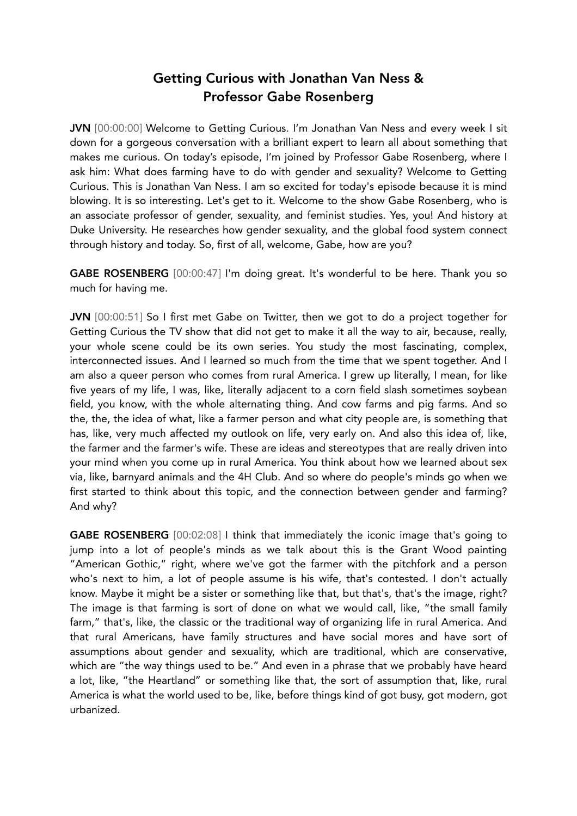## Getting Curious with Jonathan Van Ness & Professor Gabe Rosenberg

JVN [00:00:00] Welcome to Getting Curious. I'm Jonathan Van Ness and every week I sit down for a gorgeous conversation with a brilliant expert to learn all about something that makes me curious. On today's episode, I'm joined by Professor Gabe Rosenberg, where I ask him: What does farming have to do with gender and sexuality? Welcome to Getting Curious. This is Jonathan Van Ness. I am so excited for today's episode because it is mind blowing. It is so interesting. Let's get to it. Welcome to the show Gabe Rosenberg, who is an associate professor of gender, sexuality, and feminist studies. Yes, you! And history at Duke University. He researches how gender sexuality, and the global food system connect through history and today. So, first of all, welcome, Gabe, how are you?

GABE ROSENBERG [00:00:47] I'm doing great. It's wonderful to be here. Thank you so much for having me.

JVN [00:00:51] So I first met Gabe on Twitter, then we got to do a project together for Getting Curious the TV show that did not get to make it all the way to air, because, really, your whole scene could be its own series. You study the most fascinating, complex, interconnected issues. And I learned so much from the time that we spent together. And I am also a queer person who comes from rural America. I grew up literally, I mean, for like five years of my life, I was, like, literally adjacent to a corn field slash sometimes soybean field, you know, with the whole alternating thing. And cow farms and pig farms. And so the, the, the idea of what, like a farmer person and what city people are, is something that has, like, very much affected my outlook on life, very early on. And also this idea of, like, the farmer and the farmer's wife. These are ideas and stereotypes that are really driven into your mind when you come up in rural America. You think about how we learned about sex via, like, barnyard animals and the 4H Club. And so where do people's minds go when we first started to think about this topic, and the connection between gender and farming? And why?

GABE ROSENBERG [00:02:08] I think that immediately the iconic image that's going to jump into a lot of people's minds as we talk about this is the Grant Wood painting "American Gothic," right, where we've got the farmer with the pitchfork and a person who's next to him, a lot of people assume is his wife, that's contested. I don't actually know. Maybe it might be a sister or something like that, but that's, that's the image, right? The image is that farming is sort of done on what we would call, like, "the small family farm," that's, like, the classic or the traditional way of organizing life in rural America. And that rural Americans, have family structures and have social mores and have sort of assumptions about gender and sexuality, which are traditional, which are conservative, which are "the way things used to be." And even in a phrase that we probably have heard a lot, like, "the Heartland" or something like that, the sort of assumption that, like, rural America is what the world used to be, like, before things kind of got busy, got modern, got urbanized.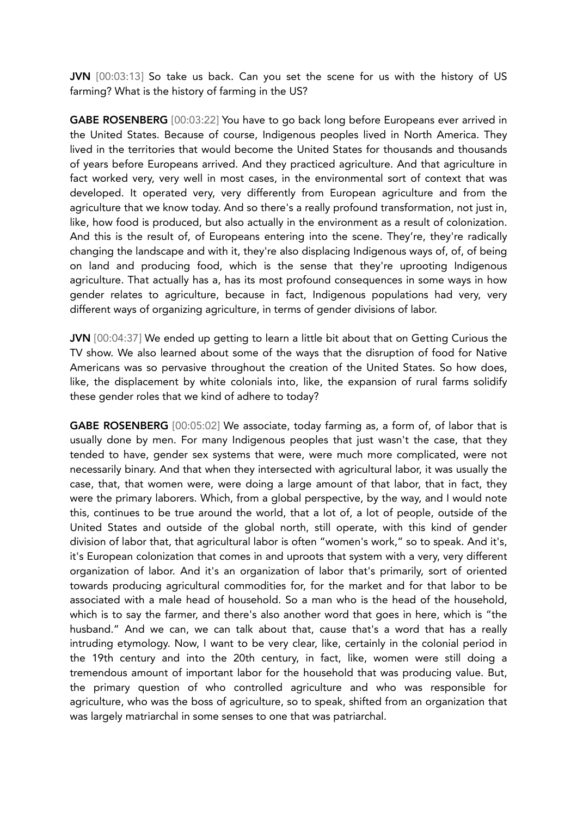JVN [00:03:13] So take us back. Can you set the scene for us with the history of US farming? What is the history of farming in the US?

GABE ROSENBERG [00:03:22] You have to go back long before Europeans ever arrived in the United States. Because of course, Indigenous peoples lived in North America. They lived in the territories that would become the United States for thousands and thousands of years before Europeans arrived. And they practiced agriculture. And that agriculture in fact worked very, very well in most cases, in the environmental sort of context that was developed. It operated very, very differently from European agriculture and from the agriculture that we know today. And so there's a really profound transformation, not just in, like, how food is produced, but also actually in the environment as a result of colonization. And this is the result of, of Europeans entering into the scene. They're, they're radically changing the landscape and with it, they're also displacing Indigenous ways of, of, of being on land and producing food, which is the sense that they're uprooting Indigenous agriculture. That actually has a, has its most profound consequences in some ways in how gender relates to agriculture, because in fact, Indigenous populations had very, very different ways of organizing agriculture, in terms of gender divisions of labor.

JVN [00:04:37] We ended up getting to learn a little bit about that on Getting Curious the TV show. We also learned about some of the ways that the disruption of food for Native Americans was so pervasive throughout the creation of the United States. So how does, like, the displacement by white colonials into, like, the expansion of rural farms solidify these gender roles that we kind of adhere to today?

GABE ROSENBERG [00:05:02] We associate, today farming as, a form of, of labor that is usually done by men. For many Indigenous peoples that just wasn't the case, that they tended to have, gender sex systems that were, were much more complicated, were not necessarily binary. And that when they intersected with agricultural labor, it was usually the case, that, that women were, were doing a large amount of that labor, that in fact, they were the primary laborers. Which, from a global perspective, by the way, and I would note this, continues to be true around the world, that a lot of, a lot of people, outside of the United States and outside of the global north, still operate, with this kind of gender division of labor that, that agricultural labor is often "women's work," so to speak. And it's, it's European colonization that comes in and uproots that system with a very, very different organization of labor. And it's an organization of labor that's primarily, sort of oriented towards producing agricultural commodities for, for the market and for that labor to be associated with a male head of household. So a man who is the head of the household, which is to say the farmer, and there's also another word that goes in here, which is "the husband." And we can, we can talk about that, cause that's a word that has a really intruding etymology. Now, I want to be very clear, like, certainly in the colonial period in the 19th century and into the 20th century, in fact, like, women were still doing a tremendous amount of important labor for the household that was producing value. But, the primary question of who controlled agriculture and who was responsible for agriculture, who was the boss of agriculture, so to speak, shifted from an organization that was largely matriarchal in some senses to one that was patriarchal.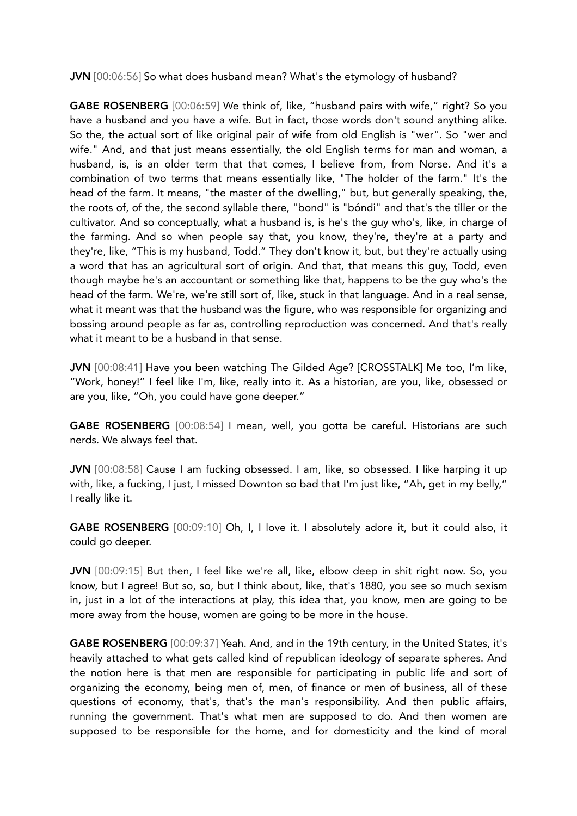JVN [00:06:56] So what does husband mean? What's the etymology of husband?

GABE ROSENBERG [00:06:59] We think of, like, "husband pairs with wife," right? So you have a husband and you have a wife. But in fact, those words don't sound anything alike. So the, the actual sort of like original pair of wife from old English is "wer". So "wer and wife." And, and that just means essentially, the old English terms for man and woman, a husband, is, is an older term that that comes, I believe from, from Norse. And it's a combination of two terms that means essentially like, "The holder of the farm." It's the head of the farm. It means, "the master of the dwelling," but, but generally speaking, the, the roots of, of the, the second syllable there, "bond" is "bóndi" and that's the tiller or the cultivator. And so conceptually, what a husband is, is he's the guy who's, like, in charge of the farming. And so when people say that, you know, they're, they're at a party and they're, like, "This is my husband, Todd." They don't know it, but, but they're actually using a word that has an agricultural sort of origin. And that, that means this guy, Todd, even though maybe he's an accountant or something like that, happens to be the guy who's the head of the farm. We're, we're still sort of, like, stuck in that language. And in a real sense, what it meant was that the husband was the figure, who was responsible for organizing and bossing around people as far as, controlling reproduction was concerned. And that's really what it meant to be a husband in that sense.

JVN [00:08:41] Have you been watching The Gilded Age? [CROSSTALK] Me too, I'm like, "Work, honey!" I feel like I'm, like, really into it. As a historian, are you, like, obsessed or are you, like, "Oh, you could have gone deeper."

GABE ROSENBERG [00:08:54] I mean, well, you gotta be careful. Historians are such nerds. We always feel that.

JVN [00:08:58] Cause I am fucking obsessed. I am, like, so obsessed. I like harping it up with, like, a fucking, I just, I missed Downton so bad that I'm just like, "Ah, get in my belly," I really like it.

GABE ROSENBERG [00:09:10] Oh, I, I love it. I absolutely adore it, but it could also, it could go deeper.

JVN [00:09:15] But then, I feel like we're all, like, elbow deep in shit right now. So, you know, but I agree! But so, so, but I think about, like, that's 1880, you see so much sexism in, just in a lot of the interactions at play, this idea that, you know, men are going to be more away from the house, women are going to be more in the house.

GABE ROSENBERG [00:09:37] Yeah. And, and in the 19th century, in the United States, it's heavily attached to what gets called kind of republican ideology of separate spheres. And the notion here is that men are responsible for participating in public life and sort of organizing the economy, being men of, men, of finance or men of business, all of these questions of economy, that's, that's the man's responsibility. And then public affairs, running the government. That's what men are supposed to do. And then women are supposed to be responsible for the home, and for domesticity and the kind of moral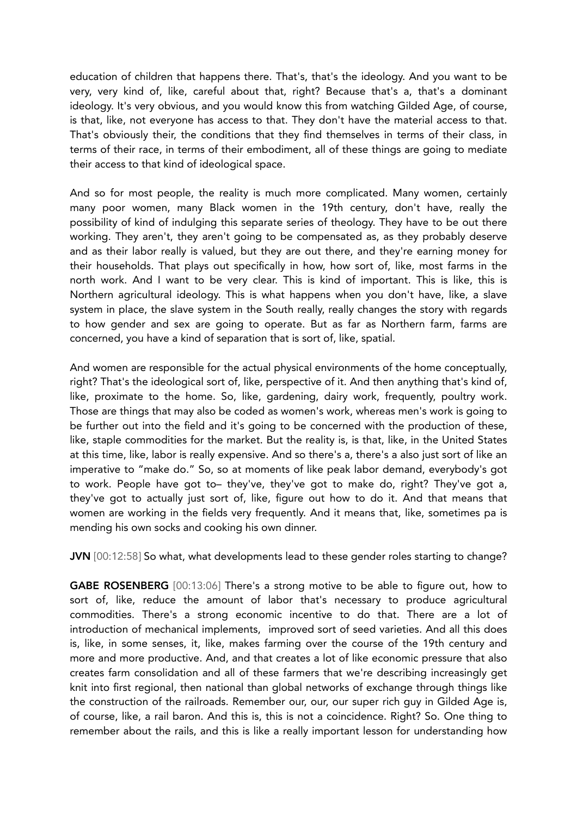education of children that happens there. That's, that's the ideology. And you want to be very, very kind of, like, careful about that, right? Because that's a, that's a dominant ideology. It's very obvious, and you would know this from watching Gilded Age, of course, is that, like, not everyone has access to that. They don't have the material access to that. That's obviously their, the conditions that they find themselves in terms of their class, in terms of their race, in terms of their embodiment, all of these things are going to mediate their access to that kind of ideological space.

And so for most people, the reality is much more complicated. Many women, certainly many poor women, many Black women in the 19th century, don't have, really the possibility of kind of indulging this separate series of theology. They have to be out there working. They aren't, they aren't going to be compensated as, as they probably deserve and as their labor really is valued, but they are out there, and they're earning money for their households. That plays out specifically in how, how sort of, like, most farms in the north work. And I want to be very clear. This is kind of important. This is like, this is Northern agricultural ideology. This is what happens when you don't have, like, a slave system in place, the slave system in the South really, really changes the story with regards to how gender and sex are going to operate. But as far as Northern farm, farms are concerned, you have a kind of separation that is sort of, like, spatial.

And women are responsible for the actual physical environments of the home conceptually, right? That's the ideological sort of, like, perspective of it. And then anything that's kind of, like, proximate to the home. So, like, gardening, dairy work, frequently, poultry work. Those are things that may also be coded as women's work, whereas men's work is going to be further out into the field and it's going to be concerned with the production of these, like, staple commodities for the market. But the reality is, is that, like, in the United States at this time, like, labor is really expensive. And so there's a, there's a also just sort of like an imperative to "make do." So, so at moments of like peak labor demand, everybody's got to work. People have got to– they've, they've got to make do, right? They've got a, they've got to actually just sort of, like, figure out how to do it. And that means that women are working in the fields very frequently. And it means that, like, sometimes pa is mending his own socks and cooking his own dinner.

JVN [00:12:58] So what, what developments lead to these gender roles starting to change?

GABE ROSENBERG [00:13:06] There's a strong motive to be able to figure out, how to sort of, like, reduce the amount of labor that's necessary to produce agricultural commodities. There's a strong economic incentive to do that. There are a lot of introduction of mechanical implements, improved sort of seed varieties. And all this does is, like, in some senses, it, like, makes farming over the course of the 19th century and more and more productive. And, and that creates a lot of like economic pressure that also creates farm consolidation and all of these farmers that we're describing increasingly get knit into first regional, then national than global networks of exchange through things like the construction of the railroads. Remember our, our, our super rich guy in Gilded Age is, of course, like, a rail baron. And this is, this is not a coincidence. Right? So. One thing to remember about the rails, and this is like a really important lesson for understanding how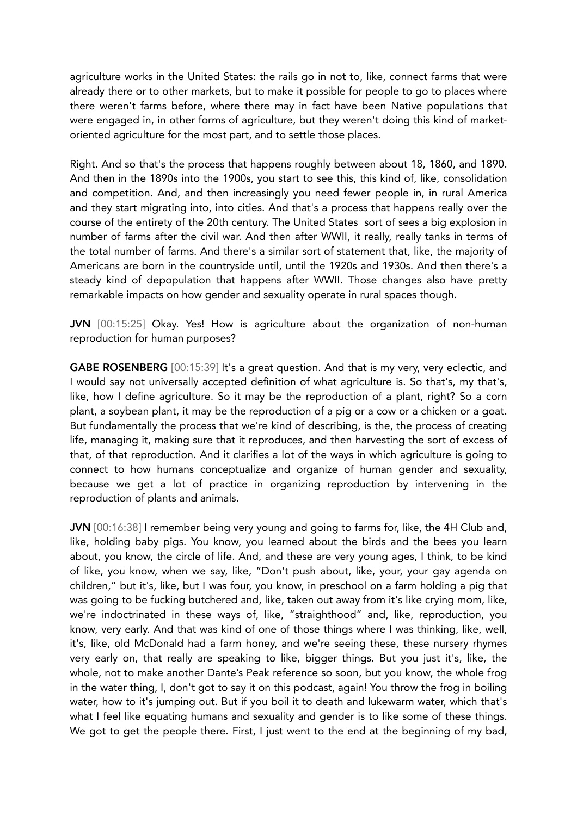agriculture works in the United States: the rails go in not to, like, connect farms that were already there or to other markets, but to make it possible for people to go to places where there weren't farms before, where there may in fact have been Native populations that were engaged in, in other forms of agriculture, but they weren't doing this kind of marketoriented agriculture for the most part, and to settle those places.

Right. And so that's the process that happens roughly between about 18, 1860, and 1890. And then in the 1890s into the 1900s, you start to see this, this kind of, like, consolidation and competition. And, and then increasingly you need fewer people in, in rural America and they start migrating into, into cities. And that's a process that happens really over the course of the entirety of the 20th century. The United States sort of sees a big explosion in number of farms after the civil war. And then after WWII, it really, really tanks in terms of the total number of farms. And there's a similar sort of statement that, like, the majority of Americans are born in the countryside until, until the 1920s and 1930s. And then there's a steady kind of depopulation that happens after WWII. Those changes also have pretty remarkable impacts on how gender and sexuality operate in rural spaces though.

JVN [00:15:25] Okay. Yes! How is agriculture about the organization of non-human reproduction for human purposes?

GABE ROSENBERG [00:15:39] It's a great question. And that is my very, very eclectic, and I would say not universally accepted definition of what agriculture is. So that's, my that's, like, how I define agriculture. So it may be the reproduction of a plant, right? So a corn plant, a soybean plant, it may be the reproduction of a pig or a cow or a chicken or a goat. But fundamentally the process that we're kind of describing, is the, the process of creating life, managing it, making sure that it reproduces, and then harvesting the sort of excess of that, of that reproduction. And it clarifies a lot of the ways in which agriculture is going to connect to how humans conceptualize and organize of human gender and sexuality, because we get a lot of practice in organizing reproduction by intervening in the reproduction of plants and animals.

JVN [00:16:38] I remember being very young and going to farms for, like, the 4H Club and, like, holding baby pigs. You know, you learned about the birds and the bees you learn about, you know, the circle of life. And, and these are very young ages, I think, to be kind of like, you know, when we say, like, "Don't push about, like, your, your gay agenda on children," but it's, like, but I was four, you know, in preschool on a farm holding a pig that was going to be fucking butchered and, like, taken out away from it's like crying mom, like, we're indoctrinated in these ways of, like, "straighthood" and, like, reproduction, you know, very early. And that was kind of one of those things where I was thinking, like, well, it's, like, old McDonald had a farm honey, and we're seeing these, these nursery rhymes very early on, that really are speaking to like, bigger things. But you just it's, like, the whole, not to make another Dante's Peak reference so soon, but you know, the whole frog in the water thing, I, don't got to say it on this podcast, again! You throw the frog in boiling water, how to it's jumping out. But if you boil it to death and lukewarm water, which that's what I feel like equating humans and sexuality and gender is to like some of these things. We got to get the people there. First, I just went to the end at the beginning of my bad,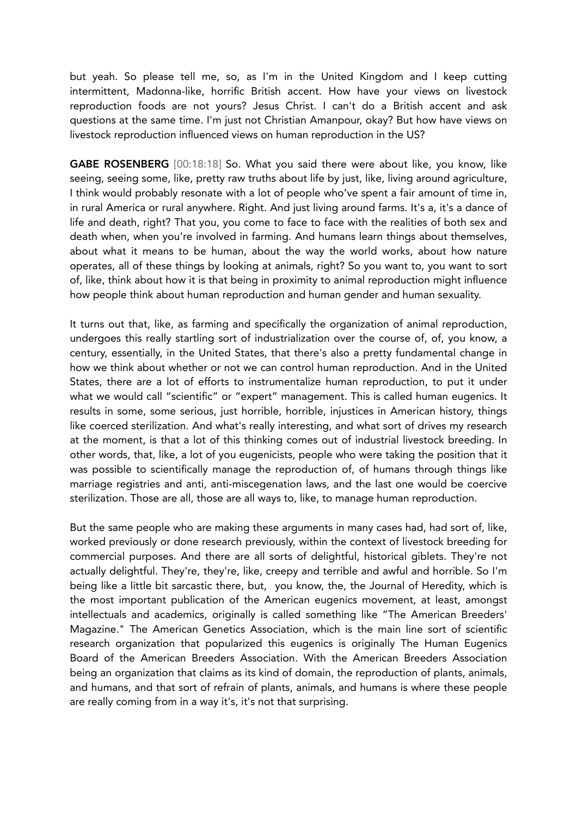but yeah. So please tell me, so, as I'm in the United Kingdom and I keep cutting intermittent, Madonna-like, horrific British accent. How have your views on livestock reproduction foods are not yours? Jesus Christ. I can't do a British accent and ask questions at the same time. I'm just not Christian Amanpour, okay? But how have views on livestock reproduction influenced views on human reproduction in the US?

GABE ROSENBERG [00:18:18] So. What you said there were about like, you know, like seeing, seeing some, like, pretty raw truths about life by just, like, living around agriculture, I think would probably resonate with a lot of people who've spent a fair amount of time in, in rural America or rural anywhere. Right. And just living around farms. It's a, it's a dance of life and death, right? That you, you come to face to face with the realities of both sex and death when, when you're involved in farming. And humans learn things about themselves, about what it means to be human, about the way the world works, about how nature operates, all of these things by looking at animals, right? So you want to, you want to sort of, like, think about how it is that being in proximity to animal reproduction might influence how people think about human reproduction and human gender and human sexuality.

It turns out that, like, as farming and specifically the organization of animal reproduction, undergoes this really startling sort of industrialization over the course of, of, you know, a century, essentially, in the United States, that there's also a pretty fundamental change in how we think about whether or not we can control human reproduction. And in the United States, there are a lot of efforts to instrumentalize human reproduction, to put it under what we would call "scientific" or "expert" management. This is called human eugenics. It results in some, some serious, just horrible, horrible, injustices in American history, things like coerced sterilization. And what's really interesting, and what sort of drives my research at the moment, is that a lot of this thinking comes out of industrial livestock breeding. In other words, that, like, a lot of you eugenicists, people who were taking the position that it was possible to scientifically manage the reproduction of, of humans through things like marriage registries and anti, anti-miscegenation laws, and the last one would be coercive sterilization. Those are all, those are all ways to, like, to manage human reproduction.

But the same people who are making these arguments in many cases had, had sort of, like, worked previously or done research previously, within the context of livestock breeding for commercial purposes. And there are all sorts of delightful, historical giblets. They're not actually delightful. They're, they're, like, creepy and terrible and awful and horrible. So I'm being like a little bit sarcastic there, but, you know, the, the Journal of Heredity, which is the most important publication of the American eugenics movement, at least, amongst intellectuals and academics, originally is called something like "The American Breeders' Magazine." The American Genetics Association, which is the main line sort of scientific research organization that popularized this eugenics is originally The Human Eugenics Board of the American Breeders Association. With the American Breeders Association being an organization that claims as its kind of domain, the reproduction of plants, animals, and humans, and that sort of refrain of plants, animals, and humans is where these people are really coming from in a way it's, it's not that surprising.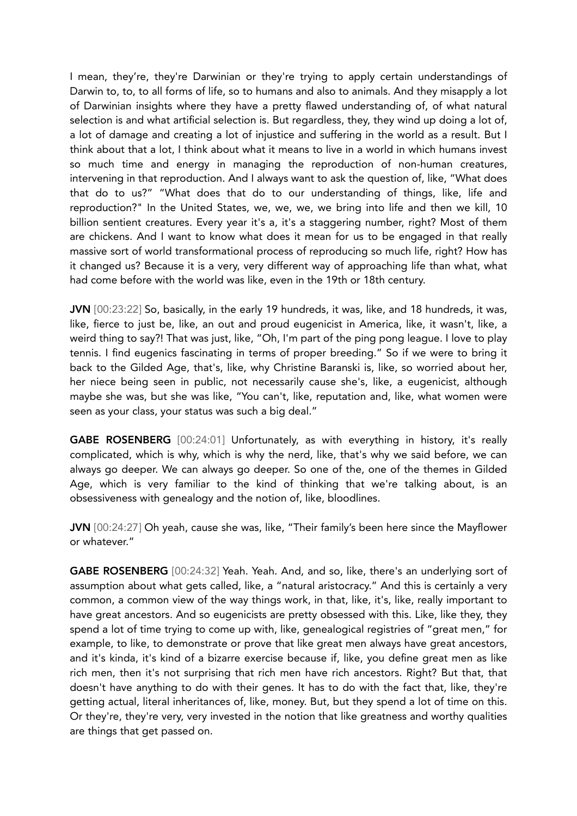I mean, they're, they're Darwinian or they're trying to apply certain understandings of Darwin to, to, to all forms of life, so to humans and also to animals. And they misapply a lot of Darwinian insights where they have a pretty flawed understanding of, of what natural selection is and what artificial selection is. But regardless, they, they wind up doing a lot of, a lot of damage and creating a lot of injustice and suffering in the world as a result. But I think about that a lot, I think about what it means to live in a world in which humans invest so much time and energy in managing the reproduction of non-human creatures, intervening in that reproduction. And I always want to ask the question of, like, "What does that do to us?" "What does that do to our understanding of things, like, life and reproduction?" In the United States, we, we, we, we bring into life and then we kill, 10 billion sentient creatures. Every year it's a, it's a staggering number, right? Most of them are chickens. And I want to know what does it mean for us to be engaged in that really massive sort of world transformational process of reproducing so much life, right? How has it changed us? Because it is a very, very different way of approaching life than what, what had come before with the world was like, even in the 19th or 18th century.

JVN [00:23:22] So, basically, in the early 19 hundreds, it was, like, and 18 hundreds, it was, like, fierce to just be, like, an out and proud eugenicist in America, like, it wasn't, like, a weird thing to say?! That was just, like, "Oh, I'm part of the ping pong league. I love to play tennis. I find eugenics fascinating in terms of proper breeding." So if we were to bring it back to the Gilded Age, that's, like, why Christine Baranski is, like, so worried about her, her niece being seen in public, not necessarily cause she's, like, a eugenicist, although maybe she was, but she was like, "You can't, like, reputation and, like, what women were seen as your class, your status was such a big deal."

GABE ROSENBERG [00:24:01] Unfortunately, as with everything in history, it's really complicated, which is why, which is why the nerd, like, that's why we said before, we can always go deeper. We can always go deeper. So one of the, one of the themes in Gilded Age, which is very familiar to the kind of thinking that we're talking about, is an obsessiveness with genealogy and the notion of, like, bloodlines.

JVN [00:24:27] Oh yeah, cause she was, like, "Their family's been here since the Mayflower or whatever."

GABE ROSENBERG [00:24:32] Yeah. Yeah. And, and so, like, there's an underlying sort of assumption about what gets called, like, a "natural aristocracy." And this is certainly a very common, a common view of the way things work, in that, like, it's, like, really important to have great ancestors. And so eugenicists are pretty obsessed with this. Like, like they, they spend a lot of time trying to come up with, like, genealogical registries of "great men," for example, to like, to demonstrate or prove that like great men always have great ancestors, and it's kinda, it's kind of a bizarre exercise because if, like, you define great men as like rich men, then it's not surprising that rich men have rich ancestors. Right? But that, that doesn't have anything to do with their genes. It has to do with the fact that, like, they're getting actual, literal inheritances of, like, money. But, but they spend a lot of time on this. Or they're, they're very, very invested in the notion that like greatness and worthy qualities are things that get passed on.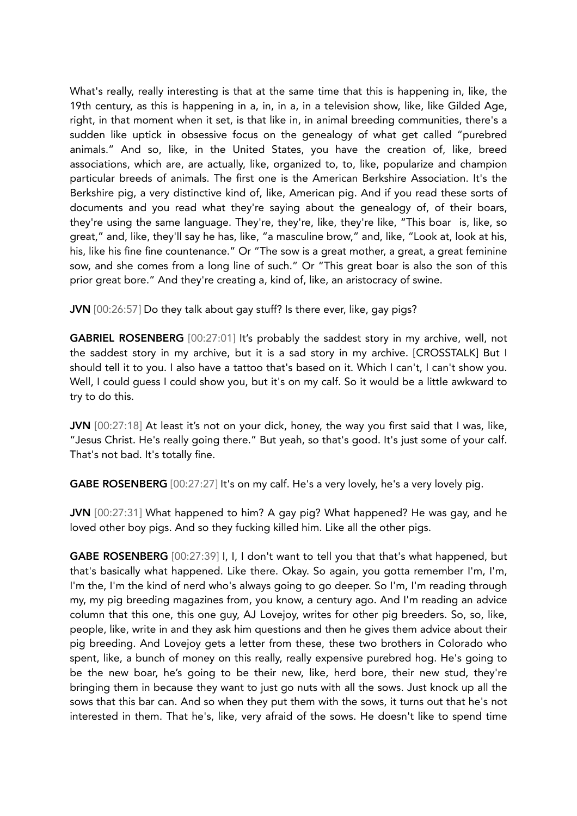What's really, really interesting is that at the same time that this is happening in, like, the 19th century, as this is happening in a, in, in a, in a television show, like, like Gilded Age, right, in that moment when it set, is that like in, in animal breeding communities, there's a sudden like uptick in obsessive focus on the genealogy of what get called "purebred animals." And so, like, in the United States, you have the creation of, like, breed associations, which are, are actually, like, organized to, to, like, popularize and champion particular breeds of animals. The first one is the American Berkshire Association. It's the Berkshire pig, a very distinctive kind of, like, American pig. And if you read these sorts of documents and you read what they're saying about the genealogy of, of their boars, they're using the same language. They're, they're, like, they're like, "This boar is, like, so great," and, like, they'll say he has, like, "a masculine brow," and, like, "Look at, look at his, his, like his fine fine countenance." Or "The sow is a great mother, a great, a great feminine sow, and she comes from a long line of such." Or "This great boar is also the son of this prior great bore." And they're creating a, kind of, like, an aristocracy of swine.

JVN [00:26:57] Do they talk about gay stuff? Is there ever, like, gay pigs?

GABRIEL ROSENBERG [00:27:01] It's probably the saddest story in my archive, well, not the saddest story in my archive, but it is a sad story in my archive. [CROSSTALK] But I should tell it to you. I also have a tattoo that's based on it. Which I can't, I can't show you. Well, I could quess I could show you, but it's on my calf. So it would be a little awkward to try to do this.

JVN [00:27:18] At least it's not on your dick, honey, the way you first said that I was, like, "Jesus Christ. He's really going there." But yeah, so that's good. It's just some of your calf. That's not bad. It's totally fine.

GABE ROSENBERG [00:27:27] It's on my calf. He's a very lovely, he's a very lovely pig.

JVN [00:27:31] What happened to him? A gay pig? What happened? He was gay, and he loved other boy pigs. And so they fucking killed him. Like all the other pigs.

GABE ROSENBERG [00:27:39] I, I, I don't want to tell you that that's what happened, but that's basically what happened. Like there. Okay. So again, you gotta remember I'm, I'm, I'm the, I'm the kind of nerd who's always going to go deeper. So I'm, I'm reading through my, my pig breeding magazines from, you know, a century ago. And I'm reading an advice column that this one, this one guy, AJ Lovejoy, writes for other pig breeders. So, so, like, people, like, write in and they ask him questions and then he gives them advice about their pig breeding. And Lovejoy gets a letter from these, these two brothers in Colorado who spent, like, a bunch of money on this really, really expensive purebred hog. He's going to be the new boar, he's going to be their new, like, herd bore, their new stud, they're bringing them in because they want to just go nuts with all the sows. Just knock up all the sows that this bar can. And so when they put them with the sows, it turns out that he's not interested in them. That he's, like, very afraid of the sows. He doesn't like to spend time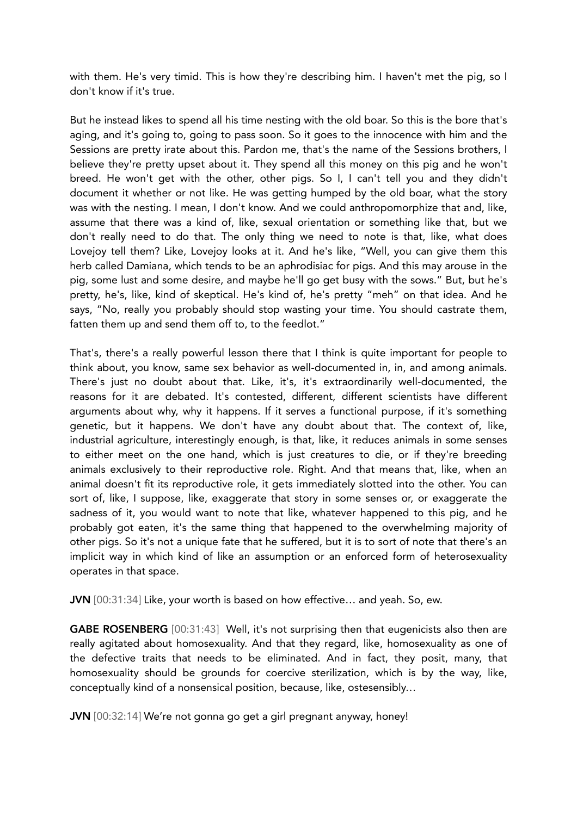with them. He's very timid. This is how they're describing him. I haven't met the pig, so I don't know if it's true.

But he instead likes to spend all his time nesting with the old boar. So this is the bore that's aging, and it's going to, going to pass soon. So it goes to the innocence with him and the Sessions are pretty irate about this. Pardon me, that's the name of the Sessions brothers, I believe they're pretty upset about it. They spend all this money on this pig and he won't breed. He won't get with the other, other pigs. So I, I can't tell you and they didn't document it whether or not like. He was getting humped by the old boar, what the story was with the nesting. I mean, I don't know. And we could anthropomorphize that and, like, assume that there was a kind of, like, sexual orientation or something like that, but we don't really need to do that. The only thing we need to note is that, like, what does Lovejoy tell them? Like, Lovejoy looks at it. And he's like, "Well, you can give them this herb called Damiana, which tends to be an aphrodisiac for pigs. And this may arouse in the pig, some lust and some desire, and maybe he'll go get busy with the sows." But, but he's pretty, he's, like, kind of skeptical. He's kind of, he's pretty "meh" on that idea. And he says, "No, really you probably should stop wasting your time. You should castrate them, fatten them up and send them off to, to the feedlot."

That's, there's a really powerful lesson there that I think is quite important for people to think about, you know, same sex behavior as well-documented in, in, and among animals. There's just no doubt about that. Like, it's, it's extraordinarily well-documented, the reasons for it are debated. It's contested, different, different scientists have different arguments about why, why it happens. If it serves a functional purpose, if it's something genetic, but it happens. We don't have any doubt about that. The context of, like, industrial agriculture, interestingly enough, is that, like, it reduces animals in some senses to either meet on the one hand, which is just creatures to die, or if they're breeding animals exclusively to their reproductive role. Right. And that means that, like, when an animal doesn't fit its reproductive role, it gets immediately slotted into the other. You can sort of, like, I suppose, like, exaggerate that story in some senses or, or exaggerate the sadness of it, you would want to note that like, whatever happened to this pig, and he probably got eaten, it's the same thing that happened to the overwhelming majority of other pigs. So it's not a unique fate that he suffered, but it is to sort of note that there's an implicit way in which kind of like an assumption or an enforced form of heterosexuality operates in that space.

JVN [00:31:34] Like, your worth is based on how effective… and yeah. So, ew.

GABE ROSENBERG [00:31:43] Well, it's not surprising then that eugenicists also then are really agitated about homosexuality. And that they regard, like, homosexuality as one of the defective traits that needs to be eliminated. And in fact, they posit, many, that homosexuality should be grounds for coercive sterilization, which is by the way, like, conceptually kind of a nonsensical position, because, like, ostesensibly…

JVN [00:32:14] We're not gonna go get a girl pregnant anyway, honey!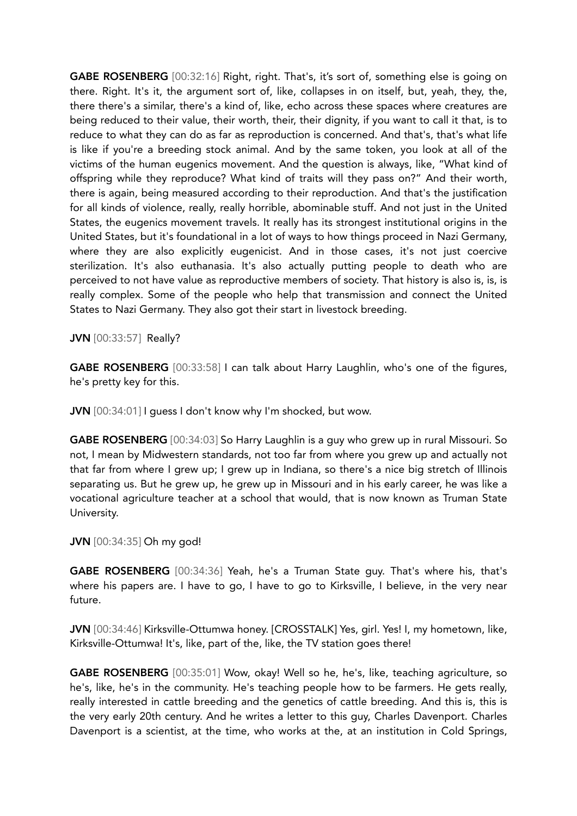GABE ROSENBERG [00:32:16] Right, right. That's, it's sort of, something else is going on there. Right. It's it, the argument sort of, like, collapses in on itself, but, yeah, they, the, there there's a similar, there's a kind of, like, echo across these spaces where creatures are being reduced to their value, their worth, their, their dignity, if you want to call it that, is to reduce to what they can do as far as reproduction is concerned. And that's, that's what life is like if you're a breeding stock animal. And by the same token, you look at all of the victims of the human eugenics movement. And the question is always, like, "What kind of offspring while they reproduce? What kind of traits will they pass on?" And their worth, there is again, being measured according to their reproduction. And that's the justification for all kinds of violence, really, really horrible, abominable stuff. And not just in the United States, the eugenics movement travels. It really has its strongest institutional origins in the United States, but it's foundational in a lot of ways to how things proceed in Nazi Germany, where they are also explicitly eugenicist. And in those cases, it's not just coercive sterilization. It's also euthanasia. It's also actually putting people to death who are perceived to not have value as reproductive members of society. That history is also is, is, is really complex. Some of the people who help that transmission and connect the United States to Nazi Germany. They also got their start in livestock breeding.

JVN [00:33:57] Really?

GABE ROSENBERG [00:33:58] I can talk about Harry Laughlin, who's one of the figures, he's pretty key for this.

JVN [00:34:01] I guess I don't know why I'm shocked, but wow.

GABE ROSENBERG [00:34:03] So Harry Laughlin is a guy who grew up in rural Missouri. So not, I mean by Midwestern standards, not too far from where you grew up and actually not that far from where I grew up; I grew up in Indiana, so there's a nice big stretch of Illinois separating us. But he grew up, he grew up in Missouri and in his early career, he was like a vocational agriculture teacher at a school that would, that is now known as Truman State University.

JVN [00:34:35] Oh my god!

GABE ROSENBERG [00:34:36] Yeah, he's a Truman State guy. That's where his, that's where his papers are. I have to go, I have to go to Kirksville, I believe, in the very near future.

JVN [00:34:46] Kirksville-Ottumwa honey. [CROSSTALK] Yes, girl. Yes! I, my hometown, like, Kirksville-Ottumwa! It's, like, part of the, like, the TV station goes there!

GABE ROSENBERG [00:35:01] Wow, okay! Well so he, he's, like, teaching agriculture, so he's, like, he's in the community. He's teaching people how to be farmers. He gets really, really interested in cattle breeding and the genetics of cattle breeding. And this is, this is the very early 20th century. And he writes a letter to this guy, Charles Davenport. Charles Davenport is a scientist, at the time, who works at the, at an institution in Cold Springs,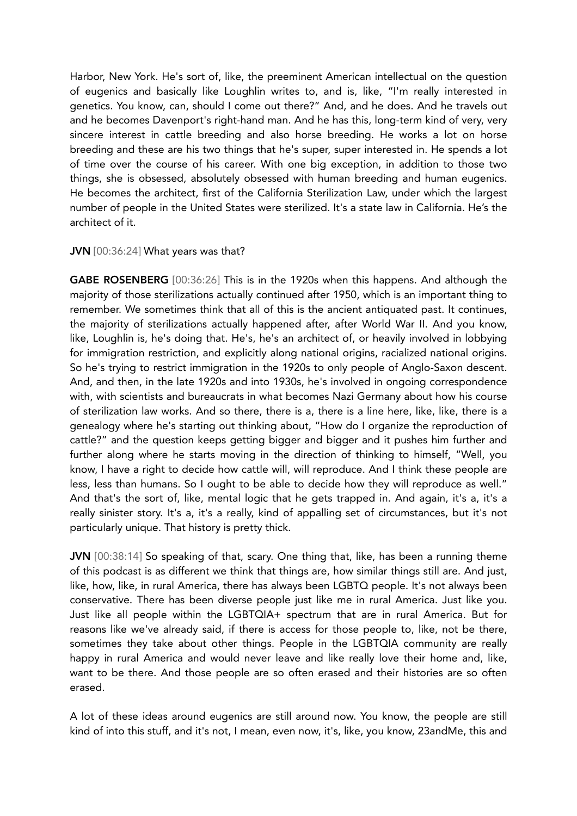Harbor, New York. He's sort of, like, the preeminent American intellectual on the question of eugenics and basically like Loughlin writes to, and is, like, "I'm really interested in genetics. You know, can, should I come out there?" And, and he does. And he travels out and he becomes Davenport's right-hand man. And he has this, long-term kind of very, very sincere interest in cattle breeding and also horse breeding. He works a lot on horse breeding and these are his two things that he's super, super interested in. He spends a lot of time over the course of his career. With one big exception, in addition to those two things, she is obsessed, absolutely obsessed with human breeding and human eugenics. He becomes the architect, first of the California Sterilization Law, under which the largest number of people in the United States were sterilized. It's a state law in California. He's the architect of it.

## JVN [00:36:24] What years was that?

GABE ROSENBERG [00:36:26] This is in the 1920s when this happens. And although the majority of those sterilizations actually continued after 1950, which is an important thing to remember. We sometimes think that all of this is the ancient antiquated past. It continues, the majority of sterilizations actually happened after, after World War II. And you know, like, Loughlin is, he's doing that. He's, he's an architect of, or heavily involved in lobbying for immigration restriction, and explicitly along national origins, racialized national origins. So he's trying to restrict immigration in the 1920s to only people of Anglo-Saxon descent. And, and then, in the late 1920s and into 1930s, he's involved in ongoing correspondence with, with scientists and bureaucrats in what becomes Nazi Germany about how his course of sterilization law works. And so there, there is a, there is a line here, like, like, there is a genealogy where he's starting out thinking about, "How do I organize the reproduction of cattle?" and the question keeps getting bigger and bigger and it pushes him further and further along where he starts moving in the direction of thinking to himself, "Well, you know, I have a right to decide how cattle will, will reproduce. And I think these people are less, less than humans. So I ought to be able to decide how they will reproduce as well." And that's the sort of, like, mental logic that he gets trapped in. And again, it's a, it's a really sinister story. It's a, it's a really, kind of appalling set of circumstances, but it's not particularly unique. That history is pretty thick.

JVN [00:38:14] So speaking of that, scary. One thing that, like, has been a running theme of this podcast is as different we think that things are, how similar things still are. And just, like, how, like, in rural America, there has always been LGBTQ people. It's not always been conservative. There has been diverse people just like me in rural America. Just like you. Just like all people within the LGBTQIA+ spectrum that are in rural America. But for reasons like we've already said, if there is access for those people to, like, not be there, sometimes they take about other things. People in the LGBTQIA community are really happy in rural America and would never leave and like really love their home and, like, want to be there. And those people are so often erased and their histories are so often erased.

A lot of these ideas around eugenics are still around now. You know, the people are still kind of into this stuff, and it's not, I mean, even now, it's, like, you know, 23andMe, this and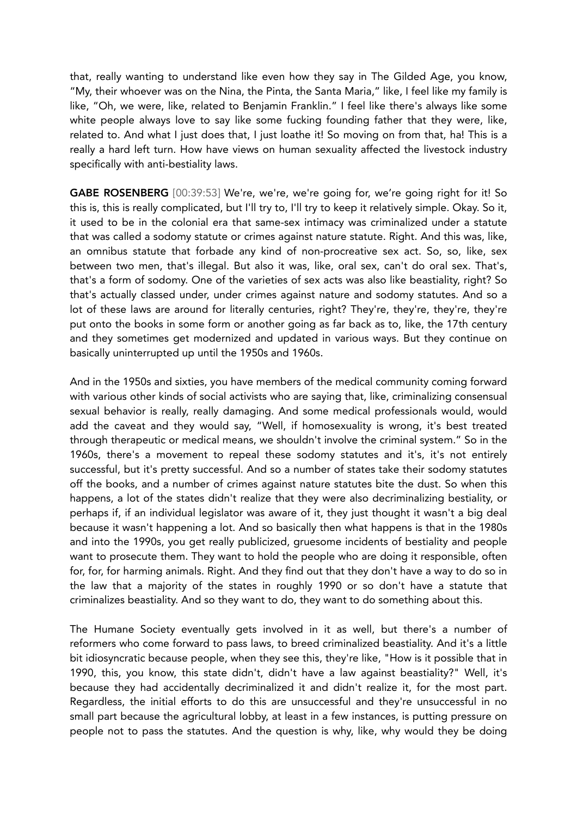that, really wanting to understand like even how they say in The Gilded Age, you know, "My, their whoever was on the Nina, the Pinta, the Santa Maria," like, I feel like my family is like, "Oh, we were, like, related to Benjamin Franklin." I feel like there's always like some white people always love to say like some fucking founding father that they were, like, related to. And what I just does that, I just loathe it! So moving on from that, ha! This is a really a hard left turn. How have views on human sexuality affected the livestock industry specifically with anti-bestiality laws.

GABE ROSENBERG [00:39:53] We're, we're, we're going for, we're going right for it! So this is, this is really complicated, but I'll try to, I'll try to keep it relatively simple. Okay. So it, it used to be in the colonial era that same-sex intimacy was criminalized under a statute that was called a sodomy statute or crimes against nature statute. Right. And this was, like, an omnibus statute that forbade any kind of non-procreative sex act. So, so, like, sex between two men, that's illegal. But also it was, like, oral sex, can't do oral sex. That's, that's a form of sodomy. One of the varieties of sex acts was also like beastiality, right? So that's actually classed under, under crimes against nature and sodomy statutes. And so a lot of these laws are around for literally centuries, right? They're, they're, they're, they're put onto the books in some form or another going as far back as to, like, the 17th century and they sometimes get modernized and updated in various ways. But they continue on basically uninterrupted up until the 1950s and 1960s.

And in the 1950s and sixties, you have members of the medical community coming forward with various other kinds of social activists who are saying that, like, criminalizing consensual sexual behavior is really, really damaging. And some medical professionals would, would add the caveat and they would say, "Well, if homosexuality is wrong, it's best treated through therapeutic or medical means, we shouldn't involve the criminal system." So in the 1960s, there's a movement to repeal these sodomy statutes and it's, it's not entirely successful, but it's pretty successful. And so a number of states take their sodomy statutes off the books, and a number of crimes against nature statutes bite the dust. So when this happens, a lot of the states didn't realize that they were also decriminalizing bestiality, or perhaps if, if an individual legislator was aware of it, they just thought it wasn't a big deal because it wasn't happening a lot. And so basically then what happens is that in the 1980s and into the 1990s, you get really publicized, gruesome incidents of bestiality and people want to prosecute them. They want to hold the people who are doing it responsible, often for, for, for harming animals. Right. And they find out that they don't have a way to do so in the law that a majority of the states in roughly 1990 or so don't have a statute that criminalizes beastiality. And so they want to do, they want to do something about this.

The Humane Society eventually gets involved in it as well, but there's a number of reformers who come forward to pass laws, to breed criminalized beastiality. And it's a little bit idiosyncratic because people, when they see this, they're like, "How is it possible that in 1990, this, you know, this state didn't, didn't have a law against beastiality?" Well, it's because they had accidentally decriminalized it and didn't realize it, for the most part. Regardless, the initial efforts to do this are unsuccessful and they're unsuccessful in no small part because the agricultural lobby, at least in a few instances, is putting pressure on people not to pass the statutes. And the question is why, like, why would they be doing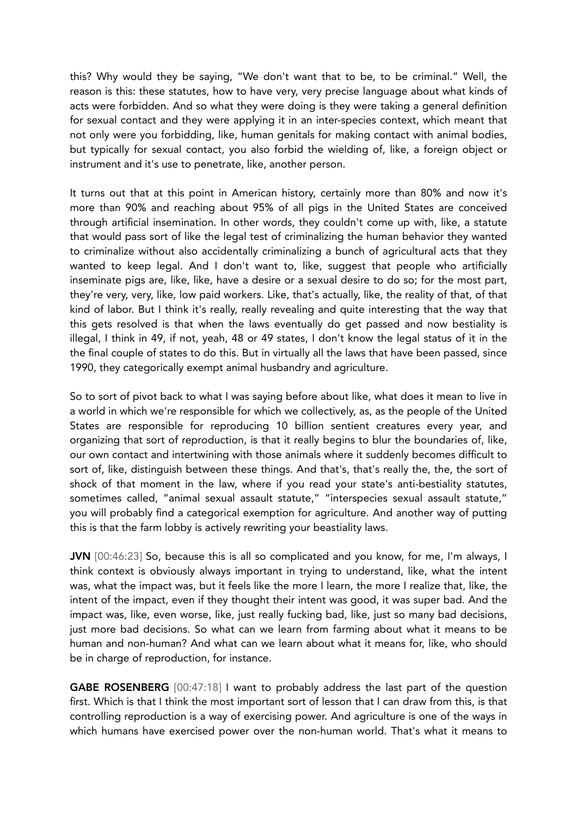this? Why would they be saying, "We don't want that to be, to be criminal." Well, the reason is this: these statutes, how to have very, very precise language about what kinds of acts were forbidden. And so what they were doing is they were taking a general definition for sexual contact and they were applying it in an inter-species context, which meant that not only were you forbidding, like, human genitals for making contact with animal bodies, but typically for sexual contact, you also forbid the wielding of, like, a foreign object or instrument and it's use to penetrate, like, another person.

It turns out that at this point in American history, certainly more than 80% and now it's more than 90% and reaching about 95% of all pigs in the United States are conceived through artificial insemination. In other words, they couldn't come up with, like, a statute that would pass sort of like the legal test of criminalizing the human behavior they wanted to criminalize without also accidentally criminalizing a bunch of agricultural acts that they wanted to keep legal. And I don't want to, like, suggest that people who artificially inseminate pigs are, like, like, have a desire or a sexual desire to do so; for the most part, they're very, very, like, low paid workers. Like, that's actually, like, the reality of that, of that kind of labor. But I think it's really, really revealing and quite interesting that the way that this gets resolved is that when the laws eventually do get passed and now bestiality is illegal, I think in 49, if not, yeah, 48 or 49 states, I don't know the legal status of it in the the final couple of states to do this. But in virtually all the laws that have been passed, since 1990, they categorically exempt animal husbandry and agriculture.

So to sort of pivot back to what I was saying before about like, what does it mean to live in a world in which we're responsible for which we collectively, as, as the people of the United States are responsible for reproducing 10 billion sentient creatures every year, and organizing that sort of reproduction, is that it really begins to blur the boundaries of, like, our own contact and intertwining with those animals where it suddenly becomes difficult to sort of, like, distinguish between these things. And that's, that's really the, the, the sort of shock of that moment in the law, where if you read your state's anti-bestiality statutes, sometimes called, "animal sexual assault statute," "interspecies sexual assault statute," you will probably find a categorical exemption for agriculture. And another way of putting this is that the farm lobby is actively rewriting your beastiality laws.

JVN [00:46:23] So, because this is all so complicated and you know, for me, I'm always, I think context is obviously always important in trying to understand, like, what the intent was, what the impact was, but it feels like the more I learn, the more I realize that, like, the intent of the impact, even if they thought their intent was good, it was super bad. And the impact was, like, even worse, like, just really fucking bad, like, just so many bad decisions, just more bad decisions. So what can we learn from farming about what it means to be human and non-human? And what can we learn about what it means for, like, who should be in charge of reproduction, for instance.

GABE ROSENBERG [00:47:18] I want to probably address the last part of the question first. Which is that I think the most important sort of lesson that I can draw from this, is that controlling reproduction is a way of exercising power. And agriculture is one of the ways in which humans have exercised power over the non-human world. That's what it means to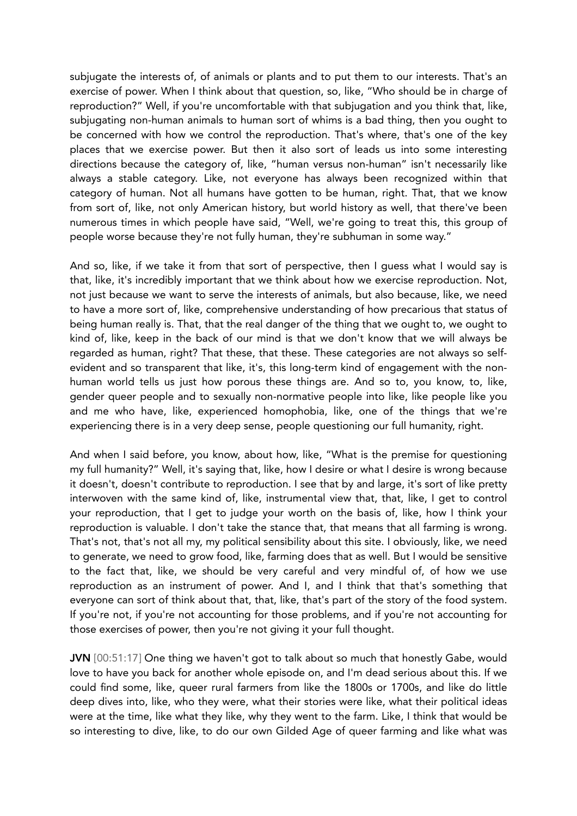subjugate the interests of, of animals or plants and to put them to our interests. That's an exercise of power. When I think about that question, so, like, "Who should be in charge of reproduction?" Well, if you're uncomfortable with that subjugation and you think that, like, subjugating non-human animals to human sort of whims is a bad thing, then you ought to be concerned with how we control the reproduction. That's where, that's one of the key places that we exercise power. But then it also sort of leads us into some interesting directions because the category of, like, "human versus non-human" isn't necessarily like always a stable category. Like, not everyone has always been recognized within that category of human. Not all humans have gotten to be human, right. That, that we know from sort of, like, not only American history, but world history as well, that there've been numerous times in which people have said, "Well, we're going to treat this, this group of people worse because they're not fully human, they're subhuman in some way."

And so, like, if we take it from that sort of perspective, then I guess what I would say is that, like, it's incredibly important that we think about how we exercise reproduction. Not, not just because we want to serve the interests of animals, but also because, like, we need to have a more sort of, like, comprehensive understanding of how precarious that status of being human really is. That, that the real danger of the thing that we ought to, we ought to kind of, like, keep in the back of our mind is that we don't know that we will always be regarded as human, right? That these, that these. These categories are not always so selfevident and so transparent that like, it's, this long-term kind of engagement with the nonhuman world tells us just how porous these things are. And so to, you know, to, like, gender queer people and to sexually non-normative people into like, like people like you and me who have, like, experienced homophobia, like, one of the things that we're experiencing there is in a very deep sense, people questioning our full humanity, right.

And when I said before, you know, about how, like, "What is the premise for questioning my full humanity?" Well, it's saying that, like, how I desire or what I desire is wrong because it doesn't, doesn't contribute to reproduction. I see that by and large, it's sort of like pretty interwoven with the same kind of, like, instrumental view that, that, like, I get to control your reproduction, that I get to judge your worth on the basis of, like, how I think your reproduction is valuable. I don't take the stance that, that means that all farming is wrong. That's not, that's not all my, my political sensibility about this site. I obviously, like, we need to generate, we need to grow food, like, farming does that as well. But I would be sensitive to the fact that, like, we should be very careful and very mindful of, of how we use reproduction as an instrument of power. And I, and I think that that's something that everyone can sort of think about that, that, like, that's part of the story of the food system. If you're not, if you're not accounting for those problems, and if you're not accounting for those exercises of power, then you're not giving it your full thought.

JVN [00:51:17] One thing we haven't got to talk about so much that honestly Gabe, would love to have you back for another whole episode on, and I'm dead serious about this. If we could find some, like, queer rural farmers from like the 1800s or 1700s, and like do little deep dives into, like, who they were, what their stories were like, what their political ideas were at the time, like what they like, why they went to the farm. Like, I think that would be so interesting to dive, like, to do our own Gilded Age of queer farming and like what was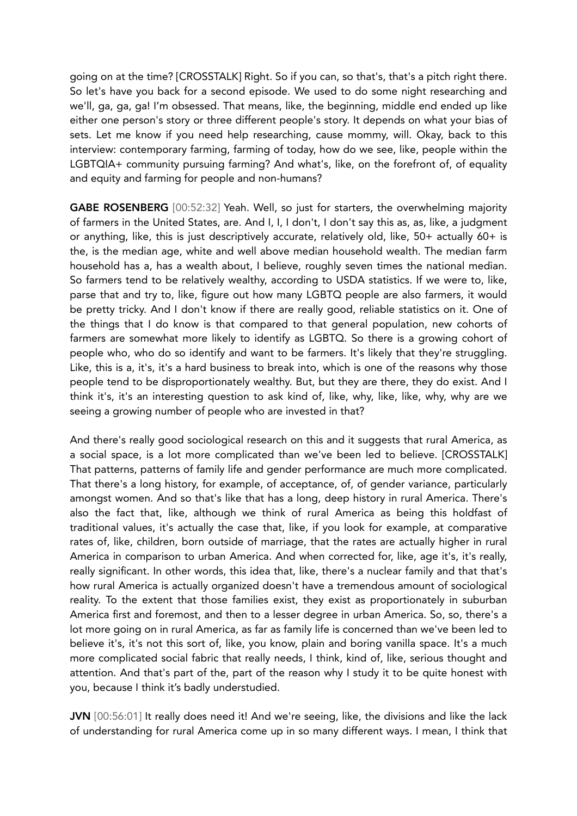going on at the time? [CROSSTALK] Right. So if you can, so that's, that's a pitch right there. So let's have you back for a second episode. We used to do some night researching and we'll, ga, ga, ga! I'm obsessed. That means, like, the beginning, middle end ended up like either one person's story or three different people's story. It depends on what your bias of sets. Let me know if you need help researching, cause mommy, will. Okay, back to this interview: contemporary farming, farming of today, how do we see, like, people within the LGBTQIA+ community pursuing farming? And what's, like, on the forefront of, of equality and equity and farming for people and non-humans?

GABE ROSENBERG [00:52:32] Yeah. Well, so just for starters, the overwhelming majority of farmers in the United States, are. And I, I, I don't, I don't say this as, as, like, a judgment or anything, like, this is just descriptively accurate, relatively old, like, 50+ actually 60+ is the, is the median age, white and well above median household wealth. The median farm household has a, has a wealth about, I believe, roughly seven times the national median. So farmers tend to be relatively wealthy, according to USDA statistics. If we were to, like, parse that and try to, like, figure out how many LGBTQ people are also farmers, it would be pretty tricky. And I don't know if there are really good, reliable statistics on it. One of the things that I do know is that compared to that general population, new cohorts of farmers are somewhat more likely to identify as LGBTQ. So there is a growing cohort of people who, who do so identify and want to be farmers. It's likely that they're struggling. Like, this is a, it's, it's a hard business to break into, which is one of the reasons why those people tend to be disproportionately wealthy. But, but they are there, they do exist. And I think it's, it's an interesting question to ask kind of, like, why, like, like, why, why are we seeing a growing number of people who are invested in that?

And there's really good sociological research on this and it suggests that rural America, as a social space, is a lot more complicated than we've been led to believe. [CROSSTALK] That patterns, patterns of family life and gender performance are much more complicated. That there's a long history, for example, of acceptance, of, of gender variance, particularly amongst women. And so that's like that has a long, deep history in rural America. There's also the fact that, like, although we think of rural America as being this holdfast of traditional values, it's actually the case that, like, if you look for example, at comparative rates of, like, children, born outside of marriage, that the rates are actually higher in rural America in comparison to urban America. And when corrected for, like, age it's, it's really, really significant. In other words, this idea that, like, there's a nuclear family and that that's how rural America is actually organized doesn't have a tremendous amount of sociological reality. To the extent that those families exist, they exist as proportionately in suburban America first and foremost, and then to a lesser degree in urban America. So, so, there's a lot more going on in rural America, as far as family life is concerned than we've been led to believe it's, it's not this sort of, like, you know, plain and boring vanilla space. It's a much more complicated social fabric that really needs, I think, kind of, like, serious thought and attention. And that's part of the, part of the reason why I study it to be quite honest with you, because I think it's badly understudied.

JVN [00:56:01] It really does need it! And we're seeing, like, the divisions and like the lack of understanding for rural America come up in so many different ways. I mean, I think that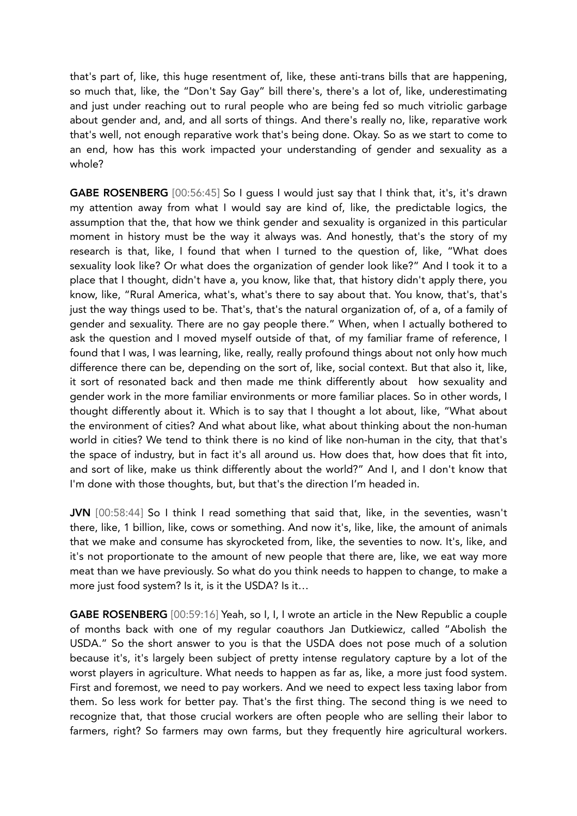that's part of, like, this huge resentment of, like, these anti-trans bills that are happening, so much that, like, the "Don't Say Gay" bill there's, there's a lot of, like, underestimating and just under reaching out to rural people who are being fed so much vitriolic garbage about gender and, and, and all sorts of things. And there's really no, like, reparative work that's well, not enough reparative work that's being done. Okay. So as we start to come to an end, how has this work impacted your understanding of gender and sexuality as a whole?

GABE ROSENBERG [00:56:45] So I guess I would just say that I think that, it's, it's drawn my attention away from what I would say are kind of, like, the predictable logics, the assumption that the, that how we think gender and sexuality is organized in this particular moment in history must be the way it always was. And honestly, that's the story of my research is that, like, I found that when I turned to the question of, like, "What does sexuality look like? Or what does the organization of gender look like?" And I took it to a place that I thought, didn't have a, you know, like that, that history didn't apply there, you know, like, "Rural America, what's, what's there to say about that. You know, that's, that's just the way things used to be. That's, that's the natural organization of, of a, of a family of gender and sexuality. There are no gay people there." When, when I actually bothered to ask the question and I moved myself outside of that, of my familiar frame of reference, I found that I was, I was learning, like, really, really profound things about not only how much difference there can be, depending on the sort of, like, social context. But that also it, like, it sort of resonated back and then made me think differently about how sexuality and gender work in the more familiar environments or more familiar places. So in other words, I thought differently about it. Which is to say that I thought a lot about, like, "What about the environment of cities? And what about like, what about thinking about the non-human world in cities? We tend to think there is no kind of like non-human in the city, that that's the space of industry, but in fact it's all around us. How does that, how does that fit into, and sort of like, make us think differently about the world?" And I, and I don't know that I'm done with those thoughts, but, but that's the direction I'm headed in.

JVN [00:58:44] So I think I read something that said that, like, in the seventies, wasn't there, like, 1 billion, like, cows or something. And now it's, like, like, the amount of animals that we make and consume has skyrocketed from, like, the seventies to now. It's, like, and it's not proportionate to the amount of new people that there are, like, we eat way more meat than we have previously. So what do you think needs to happen to change, to make a more just food system? Is it, is it the USDA? Is it…

GABE ROSENBERG [00:59:16] Yeah, so I, I, I wrote an article in the New Republic a couple of months back with one of my regular coauthors Jan Dutkiewicz, called "Abolish the USDA." So the short answer to you is that the USDA does not pose much of a solution because it's, it's largely been subject of pretty intense regulatory capture by a lot of the worst players in agriculture. What needs to happen as far as, like, a more just food system. First and foremost, we need to pay workers. And we need to expect less taxing labor from them. So less work for better pay. That's the first thing. The second thing is we need to recognize that, that those crucial workers are often people who are selling their labor to farmers, right? So farmers may own farms, but they frequently hire agricultural workers.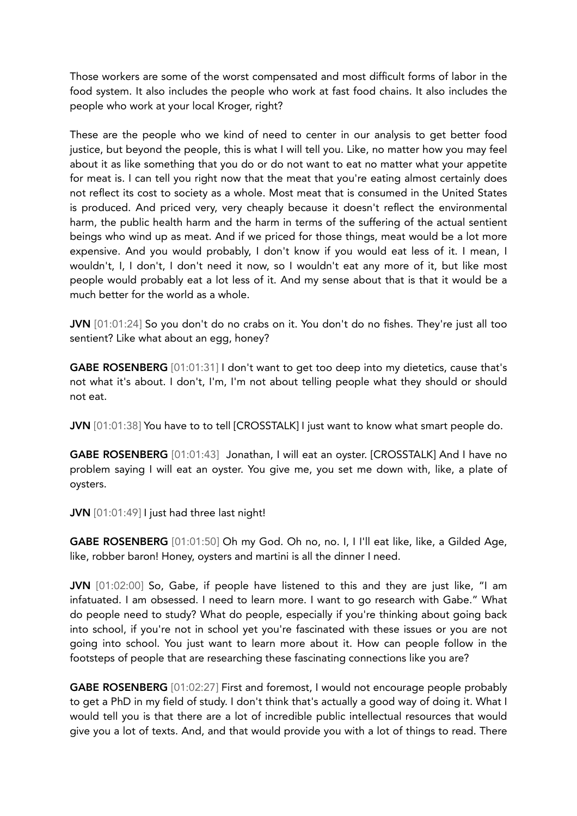Those workers are some of the worst compensated and most difficult forms of labor in the food system. It also includes the people who work at fast food chains. It also includes the people who work at your local Kroger, right?

These are the people who we kind of need to center in our analysis to get better food justice, but beyond the people, this is what I will tell you. Like, no matter how you may feel about it as like something that you do or do not want to eat no matter what your appetite for meat is. I can tell you right now that the meat that you're eating almost certainly does not reflect its cost to society as a whole. Most meat that is consumed in the United States is produced. And priced very, very cheaply because it doesn't reflect the environmental harm, the public health harm and the harm in terms of the suffering of the actual sentient beings who wind up as meat. And if we priced for those things, meat would be a lot more expensive. And you would probably, I don't know if you would eat less of it. I mean, I wouldn't, I, I don't, I don't need it now, so I wouldn't eat any more of it, but like most people would probably eat a lot less of it. And my sense about that is that it would be a much better for the world as a whole.

JVN [01:01:24] So you don't do no crabs on it. You don't do no fishes. They're just all too sentient? Like what about an egg, honey?

GABE ROSENBERG [01:01:31] I don't want to get too deep into my dietetics, cause that's not what it's about. I don't, I'm, I'm not about telling people what they should or should not eat.

JVN [01:01:38] You have to to tell [CROSSTALK] I just want to know what smart people do.

GABE ROSENBERG [01:01:43] Jonathan, I will eat an oyster. [CROSSTALK] And I have no problem saying I will eat an oyster. You give me, you set me down with, like, a plate of oysters.

JVN [01:01:49] I just had three last night!

GABE ROSENBERG [01:01:50] Oh my God. Oh no, no. I, I I'll eat like, like, a Gilded Age, like, robber baron! Honey, oysters and martini is all the dinner I need.

JVN [01:02:00] So, Gabe, if people have listened to this and they are just like, "I am infatuated. I am obsessed. I need to learn more. I want to go research with Gabe." What do people need to study? What do people, especially if you're thinking about going back into school, if you're not in school yet you're fascinated with these issues or you are not going into school. You just want to learn more about it. How can people follow in the footsteps of people that are researching these fascinating connections like you are?

GABE ROSENBERG [01:02:27] First and foremost, I would not encourage people probably to get a PhD in my field of study. I don't think that's actually a good way of doing it. What I would tell you is that there are a lot of incredible public intellectual resources that would give you a lot of texts. And, and that would provide you with a lot of things to read. There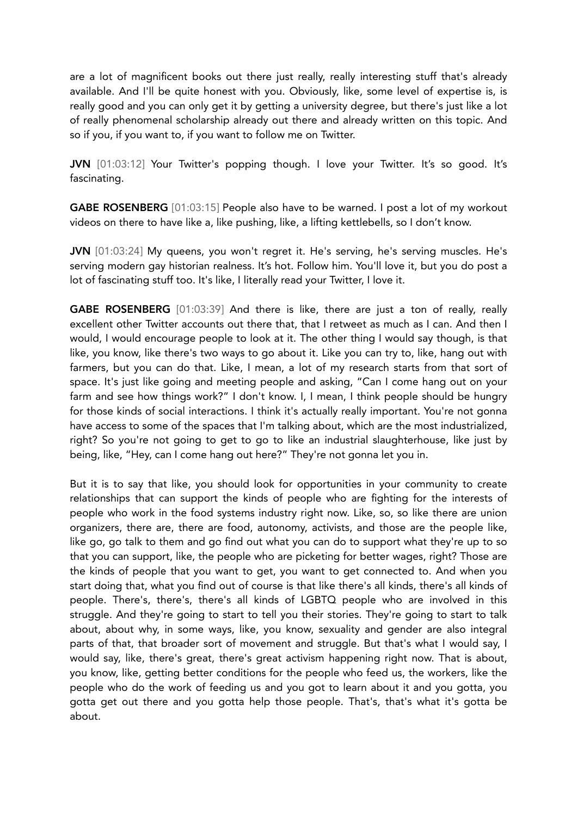are a lot of magnificent books out there just really, really interesting stuff that's already available. And I'll be quite honest with you. Obviously, like, some level of expertise is, is really good and you can only get it by getting a university degree, but there's just like a lot of really phenomenal scholarship already out there and already written on this topic. And so if you, if you want to, if you want to follow me on Twitter.

JVN [01:03:12] Your Twitter's popping though. I love your Twitter. It's so good. It's fascinating.

GABE ROSENBERG [01:03:15] People also have to be warned. I post a lot of my workout videos on there to have like a, like pushing, like, a lifting kettlebells, so I don't know.

JVN [01:03:24] My queens, you won't regret it. He's serving, he's serving muscles. He's serving modern gay historian realness. It's hot. Follow him. You'll love it, but you do post a lot of fascinating stuff too. It's like, I literally read your Twitter, I love it.

GABE ROSENBERG [01:03:39] And there is like, there are just a ton of really, really excellent other Twitter accounts out there that, that I retweet as much as I can. And then I would, I would encourage people to look at it. The other thing I would say though, is that like, you know, like there's two ways to go about it. Like you can try to, like, hang out with farmers, but you can do that. Like, I mean, a lot of my research starts from that sort of space. It's just like going and meeting people and asking, "Can I come hang out on your farm and see how things work?" I don't know. I, I mean, I think people should be hungry for those kinds of social interactions. I think it's actually really important. You're not gonna have access to some of the spaces that I'm talking about, which are the most industrialized, right? So you're not going to get to go to like an industrial slaughterhouse, like just by being, like, "Hey, can I come hang out here?" They're not gonna let you in.

But it is to say that like, you should look for opportunities in your community to create relationships that can support the kinds of people who are fighting for the interests of people who work in the food systems industry right now. Like, so, so like there are union organizers, there are, there are food, autonomy, activists, and those are the people like, like go, go talk to them and go find out what you can do to support what they're up to so that you can support, like, the people who are picketing for better wages, right? Those are the kinds of people that you want to get, you want to get connected to. And when you start doing that, what you find out of course is that like there's all kinds, there's all kinds of people. There's, there's, there's all kinds of LGBTQ people who are involved in this struggle. And they're going to start to tell you their stories. They're going to start to talk about, about why, in some ways, like, you know, sexuality and gender are also integral parts of that, that broader sort of movement and struggle. But that's what I would say, I would say, like, there's great, there's great activism happening right now. That is about, you know, like, getting better conditions for the people who feed us, the workers, like the people who do the work of feeding us and you got to learn about it and you gotta, you gotta get out there and you gotta help those people. That's, that's what it's gotta be about.